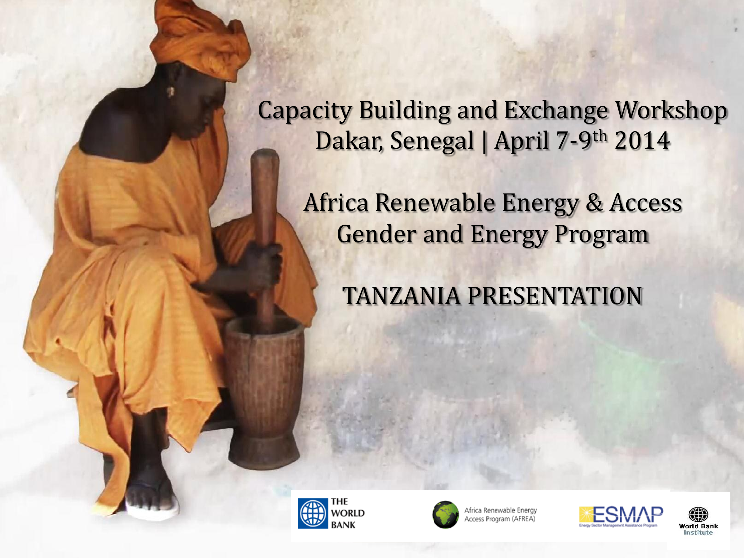Capacity Building and Exchange Workshop Dakar, Senegal | April 7-9th 2014

Africa Renewable Energy & Access Gender and Energy Program

TANZANIA PRESENTATION





Africa Renewable Energy ccess Program (AFREA)



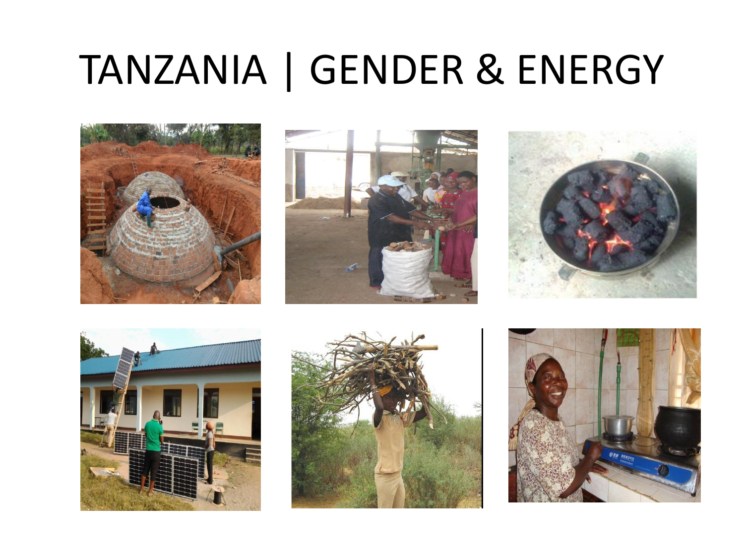## TANZANIA | GENDER & ENERGY











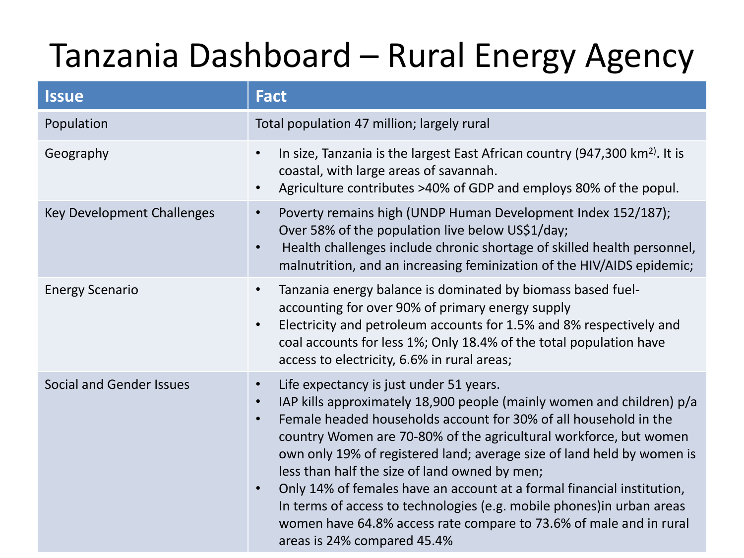### Tanzania Dashboard – Rural Energy Agency

| <b>Issue</b>                      | <b>Fact</b>                                                                                                                                                                                                                                                                                                                                                                                                                                                                                                                                                                                                                                                             |
|-----------------------------------|-------------------------------------------------------------------------------------------------------------------------------------------------------------------------------------------------------------------------------------------------------------------------------------------------------------------------------------------------------------------------------------------------------------------------------------------------------------------------------------------------------------------------------------------------------------------------------------------------------------------------------------------------------------------------|
| Population                        | Total population 47 million; largely rural                                                                                                                                                                                                                                                                                                                                                                                                                                                                                                                                                                                                                              |
| Geography                         | In size, Tanzania is the largest East African country (947,300 km <sup>2)</sup> . It is<br>coastal, with large areas of savannah.<br>Agriculture contributes >40% of GDP and employs 80% of the popul.                                                                                                                                                                                                                                                                                                                                                                                                                                                                  |
| <b>Key Development Challenges</b> | Poverty remains high (UNDP Human Development Index 152/187);<br>$\bullet$<br>Over 58% of the population live below US\$1/day;<br>Health challenges include chronic shortage of skilled health personnel,<br>$\bullet$<br>malnutrition, and an increasing feminization of the HIV/AIDS epidemic;                                                                                                                                                                                                                                                                                                                                                                         |
| <b>Energy Scenario</b>            | Tanzania energy balance is dominated by biomass based fuel-<br>$\bullet$<br>accounting for over 90% of primary energy supply<br>Electricity and petroleum accounts for 1.5% and 8% respectively and<br>coal accounts for less 1%; Only 18.4% of the total population have<br>access to electricity, 6.6% in rural areas;                                                                                                                                                                                                                                                                                                                                                |
| <b>Social and Gender Issues</b>   | Life expectancy is just under 51 years.<br>$\bullet$<br>IAP kills approximately 18,900 people (mainly women and children) p/a<br>$\bullet$<br>Female headed households account for 30% of all household in the<br>country Women are 70-80% of the agricultural workforce, but women<br>own only 19% of registered land; average size of land held by women is<br>less than half the size of land owned by men;<br>Only 14% of females have an account at a formal financial institution,<br>In terms of access to technologies (e.g. mobile phones) in urban areas<br>women have 64.8% access rate compare to 73.6% of male and in rural<br>areas is 24% compared 45.4% |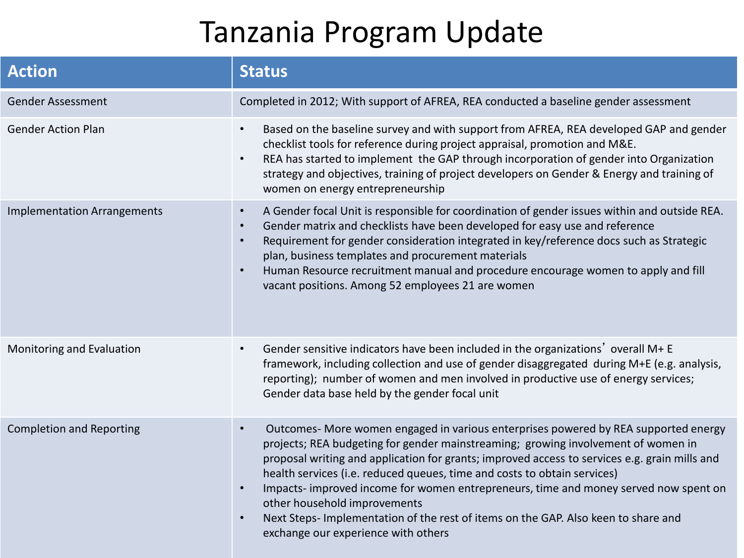### Tanzania Program Update

| <b>Action</b>                      | <b>Status</b>                                                                                                                                                                                                                                                                                                                                                                                                                                                                                                                                                                                                                                    |
|------------------------------------|--------------------------------------------------------------------------------------------------------------------------------------------------------------------------------------------------------------------------------------------------------------------------------------------------------------------------------------------------------------------------------------------------------------------------------------------------------------------------------------------------------------------------------------------------------------------------------------------------------------------------------------------------|
| <b>Gender Assessment</b>           | Completed in 2012; With support of AFREA, REA conducted a baseline gender assessment                                                                                                                                                                                                                                                                                                                                                                                                                                                                                                                                                             |
| <b>Gender Action Plan</b>          | Based on the baseline survey and with support from AFREA, REA developed GAP and gender<br>$\bullet$<br>checklist tools for reference during project appraisal, promotion and M&E.<br>REA has started to implement the GAP through incorporation of gender into Organization<br>$\bullet$<br>strategy and objectives, training of project developers on Gender & Energy and training of<br>women on energy entrepreneurship                                                                                                                                                                                                                       |
| <b>Implementation Arrangements</b> | A Gender focal Unit is responsible for coordination of gender issues within and outside REA.<br>$\bullet$<br>Gender matrix and checklists have been developed for easy use and reference<br>$\bullet$<br>Requirement for gender consideration integrated in key/reference docs such as Strategic<br>$\bullet$<br>plan, business templates and procurement materials<br>Human Resource recruitment manual and procedure encourage women to apply and fill<br>$\bullet$<br>vacant positions. Among 52 employees 21 are women                                                                                                                       |
| Monitoring and Evaluation          | Gender sensitive indicators have been included in the organizations' overall M+ E<br>$\bullet$<br>framework, including collection and use of gender disaggregated during M+E (e.g. analysis,<br>reporting); number of women and men involved in productive use of energy services;<br>Gender data base held by the gender focal unit                                                                                                                                                                                                                                                                                                             |
| <b>Completion and Reporting</b>    | Outcomes- More women engaged in various enterprises powered by REA supported energy<br>$\bullet$<br>projects; REA budgeting for gender mainstreaming; growing involvement of women in<br>proposal writing and application for grants; improved access to services e.g. grain mills and<br>health services (i.e. reduced queues, time and costs to obtain services)<br>Impacts-improved income for women entrepreneurs, time and money served now spent on<br>$\bullet$<br>other household improvements<br>Next Steps- Implementation of the rest of items on the GAP. Also keen to share and<br>$\bullet$<br>exchange our experience with others |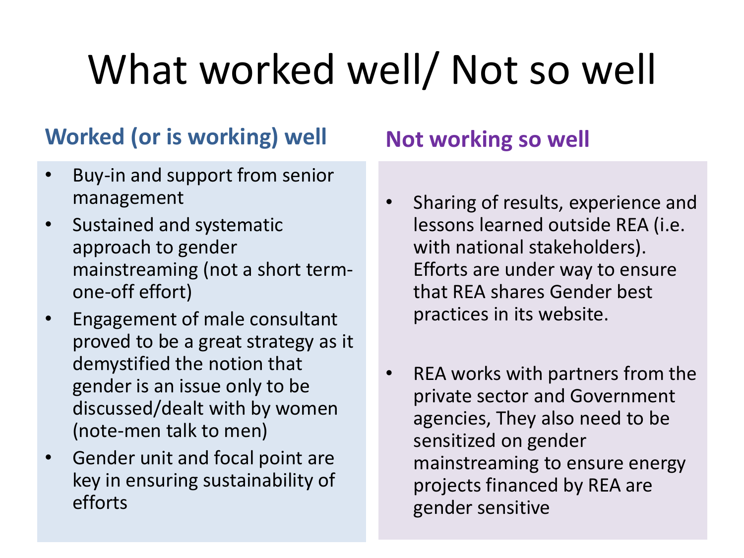# What worked well/ Not so well

#### **Worked (or is working) well**

- Buy-in and support from senior management
- Sustained and systematic approach to gender mainstreaming (not a short termone-off effort)
- Engagement of male consultant proved to be a great strategy as it demystified the notion that gender is an issue only to be discussed/dealt with by women (note-men talk to men)
- Gender unit and focal point are key in ensuring sustainability of efforts

#### **Not working so well**

- Sharing of results, experience and lessons learned outside REA (i.e. with national stakeholders). Efforts are under way to ensure that REA shares Gender best practices in its website.
- REA works with partners from the private sector and Government agencies, They also need to be sensitized on gender mainstreaming to ensure energy projects financed by REA are gender sensitive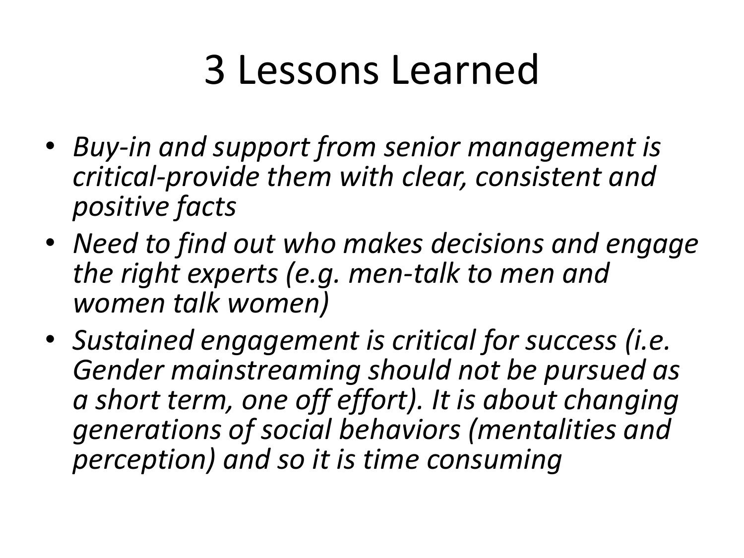## 3 Lessons Learned

- *Buy-in and support from senior management is critical-provide them with clear, consistent and positive facts*
- *Need to find out who makes decisions and engage the right experts (e.g. men-talk to men and women talk women)*
- *Sustained engagement is critical for success (i.e. Gender mainstreaming should not be pursued as a short term, one off effort). It is about changing generations of social behaviors (mentalities and perception) and so it is time consuming*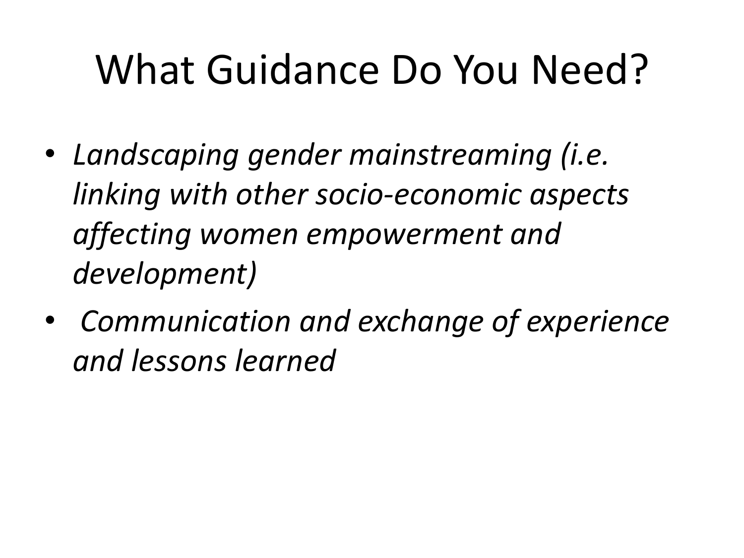# What Guidance Do You Need?

- *Landscaping gender mainstreaming (i.e. linking with other socio-economic aspects affecting women empowerment and development)*
- • *Communication and exchange of experience and lessons learned*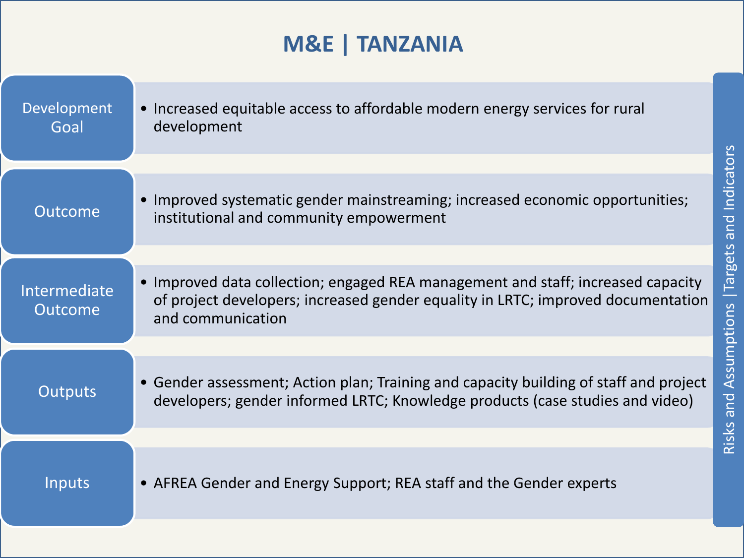### **M&E | TANZANIA**

| Development<br>Goal                   | • Increased equitable access to affordable modern energy services for rural<br>development                                                                                                           |  |
|---------------------------------------|------------------------------------------------------------------------------------------------------------------------------------------------------------------------------------------------------|--|
|                                       |                                                                                                                                                                                                      |  |
| <b>Outcome</b>                        | Improved systematic gender mainstreaming; increased economic opportunities;<br>institutional and community empowerment                                                                               |  |
|                                       |                                                                                                                                                                                                      |  |
| <b>Intermediate</b><br><b>Outcome</b> | Improved data collection; engaged REA management and staff; increased capacity<br>$\bullet$<br>of project developers; increased gender equality in LRTC; improved documentation<br>and communication |  |
|                                       |                                                                                                                                                                                                      |  |
| Outputs                               | • Gender assessment; Action plan; Training and capacity building of staff and project<br>developers; gender informed LRTC; Knowledge products (case studies and video)                               |  |
|                                       |                                                                                                                                                                                                      |  |
| Inputs                                | • AFREA Gender and Energy Support; REA staff and the Gender experts                                                                                                                                  |  |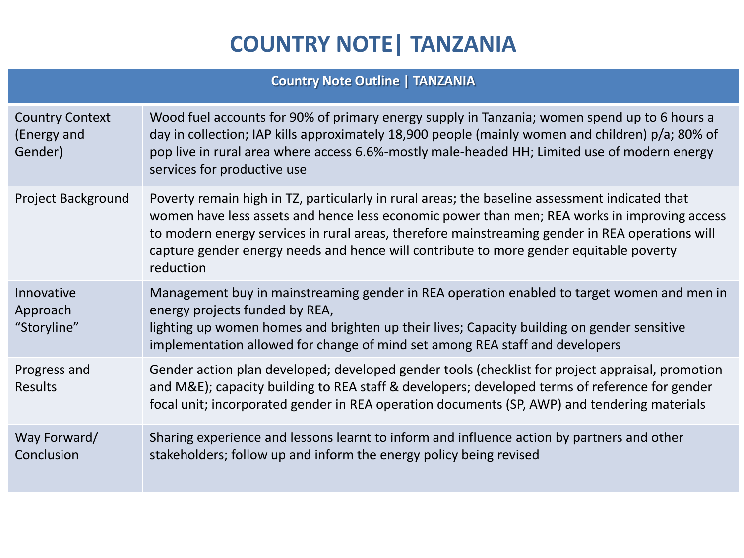### **COUNTRY NOTE| TANZANIA**

#### **Country Note Outline | TANZANIA**

| <b>Country Context</b><br>(Energy and<br>Gender) | Wood fuel accounts for 90% of primary energy supply in Tanzania; women spend up to 6 hours a<br>day in collection; IAP kills approximately 18,900 people (mainly women and children) p/a; 80% of<br>pop live in rural area where access 6.6%-mostly male-headed HH; Limited use of modern energy<br>services for productive use                                                                          |
|--------------------------------------------------|----------------------------------------------------------------------------------------------------------------------------------------------------------------------------------------------------------------------------------------------------------------------------------------------------------------------------------------------------------------------------------------------------------|
| Project Background                               | Poverty remain high in TZ, particularly in rural areas; the baseline assessment indicated that<br>women have less assets and hence less economic power than men; REA works in improving access<br>to modern energy services in rural areas, therefore mainstreaming gender in REA operations will<br>capture gender energy needs and hence will contribute to more gender equitable poverty<br>reduction |
| Innovative<br>Approach<br>"Storyline"            | Management buy in mainstreaming gender in REA operation enabled to target women and men in<br>energy projects funded by REA,<br>lighting up women homes and brighten up their lives; Capacity building on gender sensitive<br>implementation allowed for change of mind set among REA staff and developers                                                                                               |
| Progress and<br><b>Results</b>                   | Gender action plan developed; developed gender tools (checklist for project appraisal, promotion<br>and M&E); capacity building to REA staff & developers; developed terms of reference for gender<br>focal unit; incorporated gender in REA operation documents (SP, AWP) and tendering materials                                                                                                       |
| Way Forward/<br>Conclusion                       | Sharing experience and lessons learnt to inform and influence action by partners and other<br>stakeholders; follow up and inform the energy policy being revised                                                                                                                                                                                                                                         |